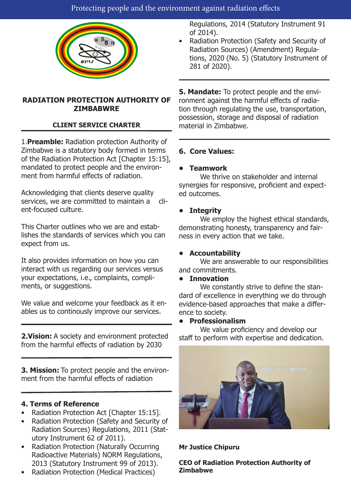

## **RADIATION PROTECTION AUTHORITY OF ZIMBABWRE**

## **CLIENT SERVICE CHARTER**

1.**Preamble:** Radiation protection Authority of Zimbabwe is a statutory body formed in terms of the Radiation Protection Act [Chapter 15:15], mandated to protect people and the environment from harmful effects of radiation.

Acknowledging that clients deserve quality services, we are committed to maintain a client-focused culture.

This Charter outlines who we are and establishes the standards of services which you can expect from us.

It also provides information on how you can interact with us regarding our services versus your expectations, i.e., complaints, compliments, or suggestions.

We value and welcome your feedback as it enables us to continously improve our services.

**2.Vision:** A society and environment protected from the harmful effects of radiation by 2030

**3. Mission:** To protect people and the environment from the harmful effects of radiation

### **4. Terms of Reference**

- Radiation Protection Act [Chapter 15:15].
- Radiation Protection (Safety and Security of Radiation Sources) Regulations, 2011 (Statutory Instrument 62 of 2011).
- Radiation Protection (Naturally Occurring Radioactive Materials) NORM Regulations, 2013 (Statutory Instrument 99 of 2013).
- Radiation Protection (Medical Practices)

Regulations, 2014 (Statutory Instrument 91 of 2014).

• Radiation Protection (Safety and Security of Radiation Sources) (Amendment) Regulations, 2020 (No. 5) (Statutory Instrument of 281 of 2020).

**5. Mandate:** To protect people and the environment against the harmful effects of radiation through regulating the use, transportation, possession, storage and disposal of radiation material in Zimbabwe.

## **6. Core Values:**

### **• Teamwork**

We thrive on stakeholder and internal synergies for responsive, proficient and expected outcomes.

## **• Integrity**

We employ the highest ethical standards, demonstrating honesty, transparency and fairness in every action that we take.

### **• Accountability**

We are answerable to our responsibilities and commitments.

### **• Innovation**

We constantly strive to define the standard of excellence in everything we do through evidence-based approaches that make a difference to society.

### **• Professionalism**

We value proficiency and develop our staff to perform with expertise and dedication.



**Mr Justice Chipuru**

**CEO of Radiation Protection Authority of Zimbabwe**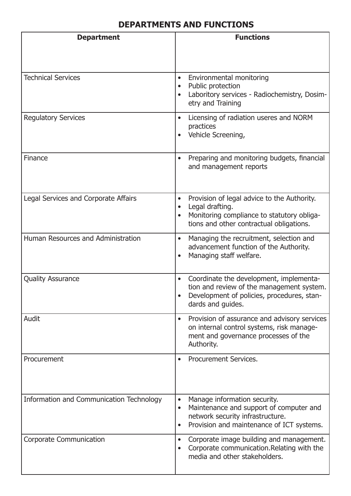# **DEPARTMENTS AND FUNCTIONS**

| <b>Department</b>                        | <b>Functions</b>                                                                                                                                                                                |
|------------------------------------------|-------------------------------------------------------------------------------------------------------------------------------------------------------------------------------------------------|
|                                          |                                                                                                                                                                                                 |
| <b>Technical Services</b>                | Environmental monitoring<br>$\bullet$<br>Public protection<br>Laboritory services - Radiochemistry, Dosim-<br>$\bullet$<br>etry and Training                                                    |
| <b>Regulatory Services</b>               | Licensing of radiation useres and NORM<br>$\bullet$<br>practices<br>Vehicle Screening,                                                                                                          |
| Finance                                  | Preparing and monitoring budgets, financial<br>$\bullet$<br>and management reports                                                                                                              |
| Legal Services and Corporate Affairs     | Provision of legal advice to the Authority.<br>$\bullet$<br>Legal drafting.<br>$\bullet$<br>Monitoring compliance to statutory obliga-<br>$\bullet$<br>tions and other contractual obligations. |
| Human Resources and Administration       | Managing the recruitment, selection and<br>$\bullet$<br>advancement function of the Authority.<br>Managing staff welfare.<br>$\bullet$                                                          |
| <b>Quality Assurance</b>                 | Coordinate the development, implementa-<br>$\bullet$<br>tion and review of the management system.<br>Development of policies, procedures, stan-<br>dards and quides.                            |
| Audit                                    | Provision of assurance and advisory services<br>$\bullet$<br>on internal control systems, risk manage-<br>ment and governance processes of the<br>Authority.                                    |
| Procurement                              | Procurement Services.<br>$\bullet$                                                                                                                                                              |
| Information and Communication Technology | Manage information security.<br>$\bullet$<br>Maintenance and support of computer and<br>$\bullet$<br>network security infrastructure.<br>Provision and maintenance of ICT systems.<br>$\bullet$ |
| <b>Corporate Communication</b>           | Corporate image building and management.<br>$\bullet$<br>Corporate communication. Relating with the<br>$\bullet$<br>media and other stakeholders.                                               |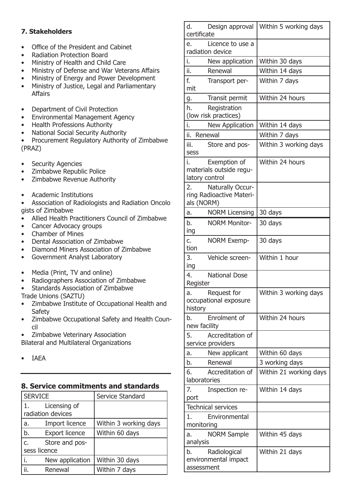## **7. Stakeholders**

- Office of the President and Cabinet
- Radiation Protection Board
- Ministry of Health and Child Care
- Ministry of Defense and War Veterans Affairs
- Ministry of Energy and Power Development
- Ministry of Justice, Legal and Parliamentary Affairs
- Department of Civil Protection
- Environmental Management Agency
- Health Professions Authority
- National Social Security Authority
- Procurement Regulatory Authority of Zimbabwe (PRAZ)
- **Security Agencies**
- Zimbabwe Republic Police
- Zimbabwe Revenue Authority
- Academic Institutions
- Association of Radiologists and Radiation Oncolo gists of Zimbabwe
- Allied Health Practitioners Council of Zimbabwe
- Cancer Advocacy groups
- Chamber of Mines
- Dental Association of Zimbabwe
- Diamond Miners Association of Zimbabwe
- Government Analyst Laboratory
- Media (Print, TV and online)
- Radiographers Association of Zimbabwe
- Standards Association of Zimbabwe
- Trade Unions (SAZTU)
- Zimbabwe Institute of Occupational Health and Safety
- Zimbabwe Occupational Safety and Health Council
- Zimbabwe Veterinary Association Bilateral and Multilateral Organizations
- IAEA

### **8. Service commitments and standards**

| <b>SERVICE</b> |                                   | Service Standard      |
|----------------|-----------------------------------|-----------------------|
| $(1, \cdot)$   | Licensing of<br>radiation devices |                       |
| a.             | Import licence                    | Within 3 working days |
| b.             | <b>Export licence</b>             | Within 60 days        |
| c.             | Store and pos-                    |                       |
| sess licence   |                                   |                       |
|                | New application                   | Within 30 days        |
|                | Renewal                           | Within 7 days         |

| d.<br>Design approval<br>certificate       | Within 5 working days  |
|--------------------------------------------|------------------------|
| Licence to use a<br>e.                     |                        |
| radiation device                           |                        |
| i.<br>New application                      | Within 30 days         |
| ii.<br>Renewal                             | Within 14 days         |
| f.<br>Transport per-                       | Within 7 days          |
| mit                                        |                        |
| Transit permit<br>g.                       | Within 24 hours        |
| h.<br>Registration                         |                        |
| (low risk practices)                       |                        |
| i.<br>New Application                      | Within 14 days         |
| ii.<br>Renewal                             | Within 7 days          |
| iii.<br>Store and pos-<br>sess             | Within 3 working days  |
| i.<br>Exemption of                         | Within 24 hours        |
| materials outside regu-<br>latory control  |                        |
| Naturally Occur-<br>2.                     |                        |
| ring Radioactive Materi-                   |                        |
| als (NORM)                                 |                        |
| <b>NORM Licensing</b><br>a.                | 30 days                |
| b.<br><b>NORM Monitor-</b><br>ing          | 30 days                |
| <b>NORM Exemp-</b><br>c.                   | 30 days                |
| tion                                       |                        |
| 3.<br>Vehicle screen-                      | Within 1 hour          |
| ing<br><b>National Dose</b><br>4.          |                        |
| Register                                   |                        |
| Request for<br>a.                          | Within 3 working days  |
| occupational exposure                      |                        |
| history                                    |                        |
| Enrolment of<br>b.<br>new facility         | Within 24 hours        |
| Accreditation of<br>5.                     |                        |
| service providers                          |                        |
| New applicant<br>a.                        | Within 60 days         |
| Renewal<br>b.                              | 3 working days         |
| 6.<br>Accreditation of<br>laboratories     | Within 21 working days |
| 7.<br>Inspection re-                       | Within 14 days         |
| port                                       |                        |
| <b>Technical services</b>                  |                        |
| Environmental<br>1.                        |                        |
| monitoring                                 |                        |
| <b>NORM Sample</b><br>a.                   | Within 45 days         |
| analysis                                   |                        |
| Radiological<br>b.<br>environmental impact | Within 21 days         |
| assessment                                 |                        |